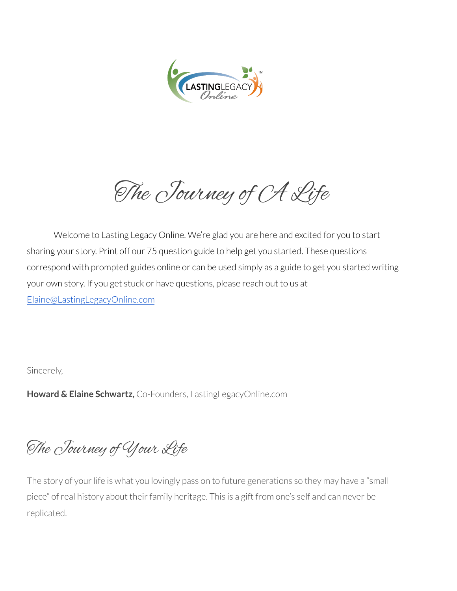

The Journey of CA Life

Welcome to Lasting Legacy Online. We're glad you are here and excited for you to start sharing your story. Print off our 75 question guide to help get you started. These questions correspond with prompted guides online or can be used simply as a guide to get you started writing your own story. If you get stuck or have questions, please reach out to us at [Elaine@LastingLegacyOnline.com](mailto:Elaine@LastingLegacyOnline.com)

Sincerely,

**Howard & Elaine Schwartz,** Co-Founders, LastingLegacyOnline.com

The Journey of Your Life

The story of your life is what you lovingly pass on to future generations so they may have a "small piece" of real history about their family heritage. This is a gift from one's self and can never be replicated.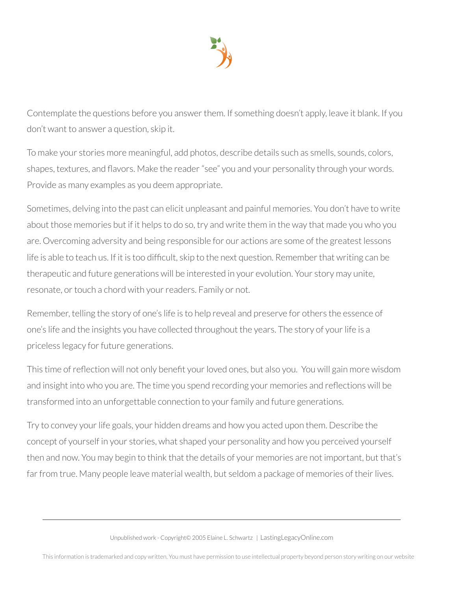

Contemplate the questions before you answer them. If something doesn't apply, leave it blank. If you don't want to answer a question, skip it.

To make your stories more meaningful, add photos, describe details such as smells, sounds, colors, shapes, textures, and flavors. Make the reader "see" you and your personality through your words. Provide as many examples as you deem appropriate.

Sometimes, delving into the past can elicit unpleasant and painful memories. You don't have to write about those memories but if it helps to do so, try and write them in the way that made you who you are. Overcoming adversity and being responsible for our actions are some of the greatest lessons life is able to teach us. If it is too difficult, skip to the next question. Remember that writing can be therapeutic and future generations will be interested in your evolution. Your story may unite, resonate, or touch a chord with your readers. Family or not.

Remember, telling the story of one's life is to help reveal and preserve for others the essence of one's life and the insights you have collected throughout the years. The story of your life is a priceless legacy for future generations.

This time of reflection will not only benefit your loved ones, but also you. You will gain more wisdom and insight into who you are. The time you spend recording your memories and reflections will be transformed into an unforgettable connection to your family and future generations.

Try to convey your life goals, your hidden dreams and how you acted upon them. Describe the concept of yourself in your stories, what shaped your personality and how you perceived yourself then and now. You may begin to think that the details of your memories are not important, but that's far from true. Many people leave material wealth, but seldom a package of memories of their lives.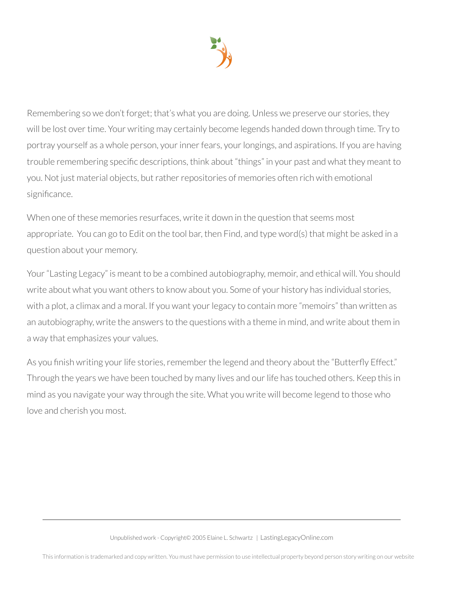

Remembering so we don't forget; that's what you are doing. Unless we preserve our stories, they will be lost over time. Your writing may certainly become legends handed down through time. Try to portray yourself as a whole person, your inner fears, your longings, and aspirations. If you are having trouble remembering specific descriptions, think about "things" in your past and what they meant to you. Not just material objects, but rather repositories of memories often rich with emotional significance.

When one of these memories resurfaces, write it down in the question that seems most appropriate. You can go to Edit on the tool bar, then Find, and type word(s) that might be asked in a question about your memory.

Your"Lasting Legacy" is meant to be a combined autobiography, memoir, and ethical will. You should write about what you want others to know about you. Some of your history has individual stories, with a plot, a climax and a moral. If you want your legacy to contain more "memoirs" than written as an autobiography, write the answers to the questions with a theme in mind, and write about them in a way that emphasizes your values.

As you finish writing your life stories, remember the legend and theory about the "Butterfly Effect." Through the years we have been touched by many lives and our life has touched others. Keep this in mind as you navigate your way through the site. What you write will become legend to those who love and cherish you most.

This information is trademarked and copy written. You must have permission to use intellectual property beyond person story writing on our website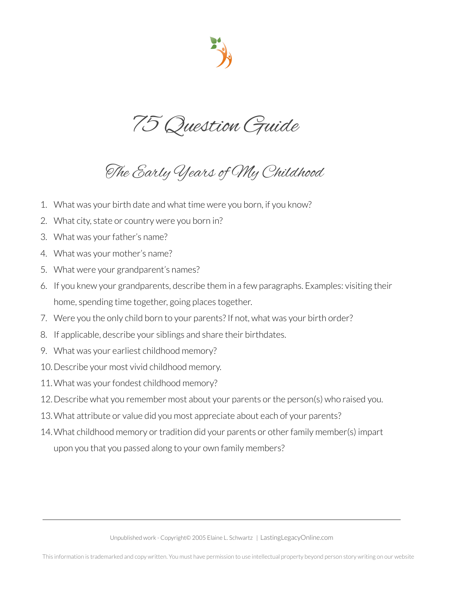75 Question Guide

The Early Years of My Childhood

- 1. What was your birth date and what time were you born, if you know?
- 2. What city, state or country were you born in?
- 3. What was your father's name?
- 4. What was your mother's name?
- 5. What were your grandparent's names?
- 6. If you knew your grandparents, describe them in a few paragraphs. Examples: visiting their home, spending time together, going places together.
- 7. Were you the only child born to your parents? If not, what was your birth order?
- 8. If applicable, describe your siblings and share their birthdates.
- 9. What was your earliest childhood memory?
- 10.Describe your most vivid childhood memory.
- 11. What was your fondest childhood memory?
- 12.Describe what you remember most about your parents orthe person(s) who raised you.
- 13.What attribute or value did you most appreciate about each of your parents?
- 14. What childhood memory or tradition did your parents or other family member(s) impart upon you that you passed along to your own family members?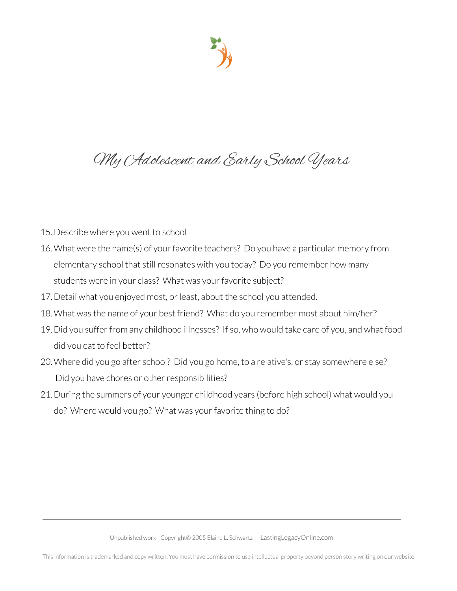## My Adolescent and Early School Years

- 15.Describe where you went to school
- 16. What were the name(s) of your favorite teachers? Do you have a particular memory from elementary school that still resonates with you today? Do you remember how many students were in your class? What was your favorite subject?
- 17. Detail what you enjoyed most, or least, about the school you attended.
- 18.What was the name of your best friend? What do you remember most about him/her?
- 19.Did you sufferfrom any childhood illnesses? If so, who would take care of you, and what food did you eat to feel better?
- 20.Where did you go after school? Did you go home, to a relative's, or stay somewhere else? Did you have chores or other responsibilities?
- 21.During the summers of your younger childhood years (before high school) what would you do? Where would you go? What was your favorite thing to do?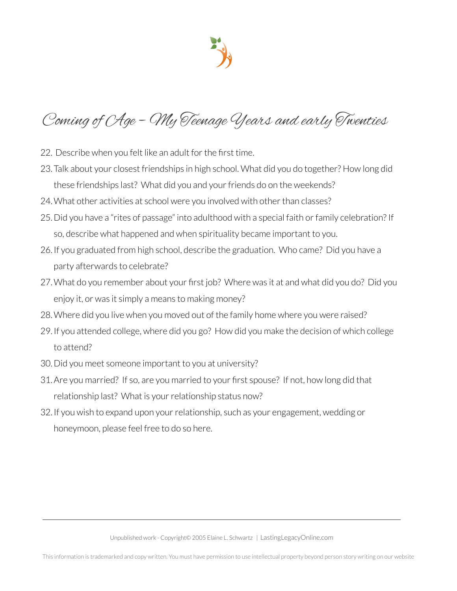

# Coming of Age – My Teenage Years and early Twenties

- 22. Describe when you felt like an adult for the first time.
- 23.Talk about your closest friendships in high school. What did you do together? How long did these friendships last? What did you and your friends do on the weekends?
- 24. What other activities at school were you involved with other than classes?
- 25. Did you have a "rites of passage" into adulthood with a special faith or family celebration? If so, describe what happened and when spirituality became important to you.
- 26.If you graduated from high school, describe the graduation. Who came? Did you have a party afterwards to celebrate?
- 27.What do you remember about your first job? Where was it at and what did you do? Did you enjoy it, or was it simply a means to making money?
- 28.Where did you live when you moved out of the family home where you were raised?
- 29.If you attended college, where did you go? How did you make the decision of which college to attend?
- 30.Did you meet someone important to you at university?
- 31.Are you married? If so, are you married to your first spouse? If not, how long did that relationship last? What is your relationship status now?
- 32.If you wish to expand upon yourrelationship, such as your engagement, wedding or honeymoon, please feel free to do so here.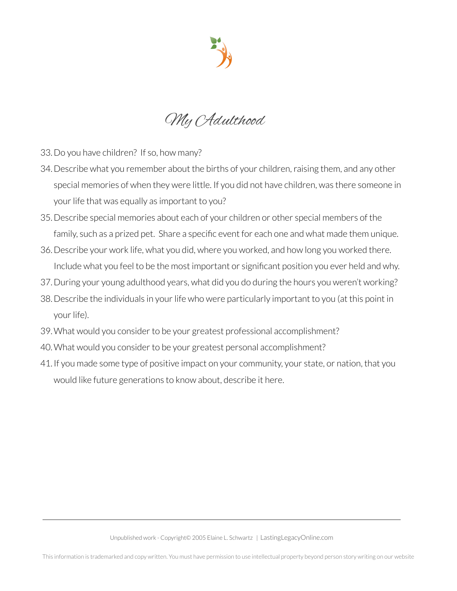

My Adulthood

- 33.Do you have children? If so, how many?
- 34. Describe what you remember about the births of your children, raising them, and any other special memories of when they were little. If you did not have children, was there someone in your life that was equally as important to you?
- 35.Describe special memories about each of your children or other special members of the family, such as a prized pet. Share a specific event for each one and what made them unique.
- 36.Describe your work life, what you did, where you worked, and how long you worked there. Include what you feel to be the most important or significant position you ever held and why.
- 37.During your young adulthood years, what did you do during the hours you weren't working?
- 38. Describe the individuals in your life who were particularly important to you (at this point in your life).
- 39. What would you consider to be your greatest professional accomplishment?
- 40. What would you consider to be your greatest personal accomplishment?
- 41.If you made some type of positive impact on your community, your state, or nation, that you would like future generations to know about, describe it here.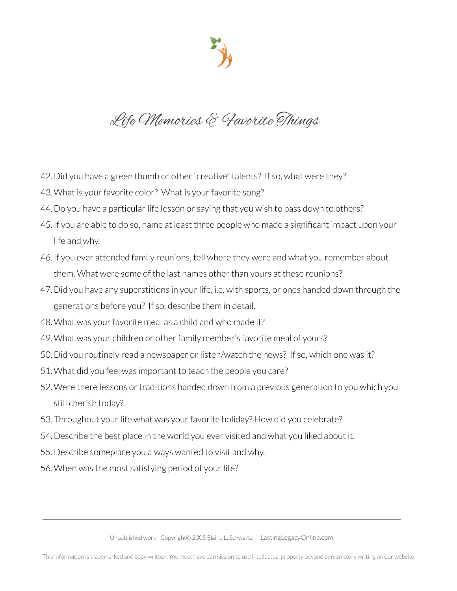Life Memories & Favorite Things

- 42. Did you have a green thumb or other "creative" talents? If so, what were they?
- 43. What is your favorite color? What is your favorite song?
- 44. Do you have a particular life lesson or saying that you wish to pass down to others?
- 45.If you are able to do so, name at least three people who made a significant impact upon your life and why.
- 46.If you ever attended family reunions, tell where they were and what you remember about them. What were some of the last names other than yours at these reunions?
- 47. Did you have any superstitions in your life, i.e. with sports, or ones handed down through the generations before you? If so, describe them in detail.
- 48. What was your favorite meal as a child and who made it?
- 49. What was your children or other family member's favorite meal of yours?
- 50. Did you routinely read a newspaper or listen/watch the news? If so, which one was it?
- 51.What did you feel was important to teach the people you care?
- 52. Were there lessons or traditions handed down from a previous generation to you which you still cherish today?
- 53. Throughout your life what was your favorite holiday? How did you celebrate?
- 54.Describe the best place in the world you ever visited and what you liked about it.
- 55.Describe someplace you always wanted to visit and why.
- 56. When was the most satisfying period of your life?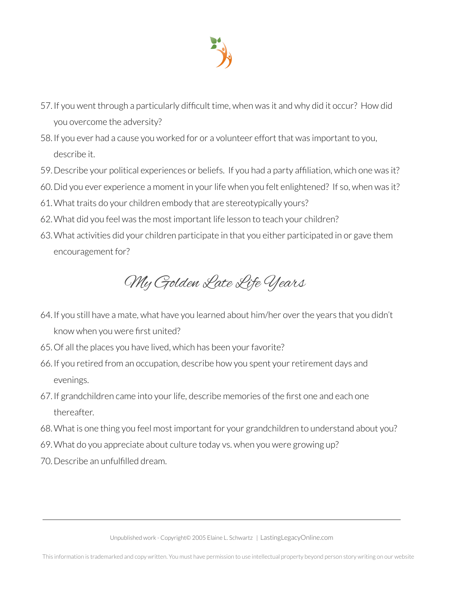

- 57.If you went through a particularly difficult time, when was it and why did it occur? How did you overcome the adversity?
- 58.If you ever had a cause you worked for or a volunteer effort that was important to you, describe it.
- 59.Describe your political experiences or beliefs. If you had a party affiliation, which one was it?
- 60.Did you ever experience a moment in yourlife when you felt enlightened? If so, when was it?
- 61.What traits do your children embody that are stereotypically yours?
- 62.What did you feel was the most important life lesson to teach your children?
- 63.What activities did your children participate in that you either participated in or gave them encouragement for?

My Golden Late Life Years

- 64.If you still have a mate, what have you learned about him/her overthe years that you didn't know when you were first united?
- 65. Of all the places you have lived, which has been your favorite?
- 66.If you retired from an occupation, describe how you spent yourretirement days and evenings.
- 67. If grandchildren came into your life, describe memories of the first one and each one thereafter.
- 68.What is one thing you feel most important for your grandchildren to understand about you?
- 69.What do you appreciate about culture today vs. when you were growing up?
- 70.Describe an unfulfilled dream.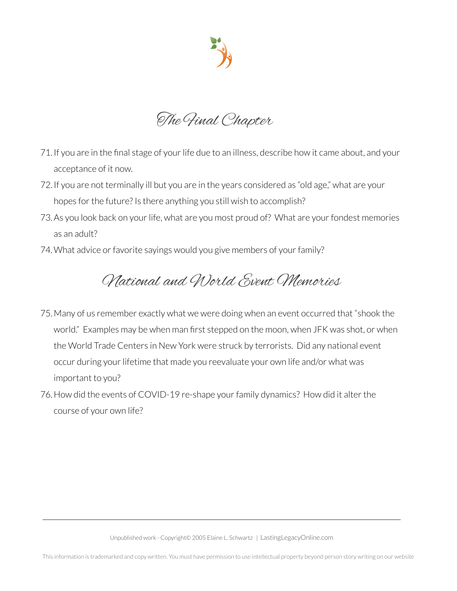

The Final Chapter

- 71.If you are in the final stage of yourlife due to an illness, describe how it came about, and your acceptance of it now.
- 72.If you are not terminally ill but you are in the years considered as "old age," what are your hopes for the future? Is there anything you still wish to accomplish?
- 73. As you look back on your life, what are you most proud of? What are your fondest memories as an adult?
- 74. What advice or favorite sayings would you give members of your family?

#### National and World Event Memories

- 75.Many of us remember exactly what we were doing when an event occurred that "shook the world." Examples may be when man first stepped on the moon, when JFK was shot, or when the World Trade Centers in New York were struck by terrorists. Did any national event occur during your lifetime that made you reevaluate your own life and/or what was important to you?
- 76. How did the events of COVID-19 re-shape your family dynamics? How did it alter the course of your own life?

Unpublished work - Copyright© 2005 Elaine L. Schwartz | LastingLegacyOnline.com

This information is trademarked and copy written. You must have permission to use intellectual property beyond person story writing on our website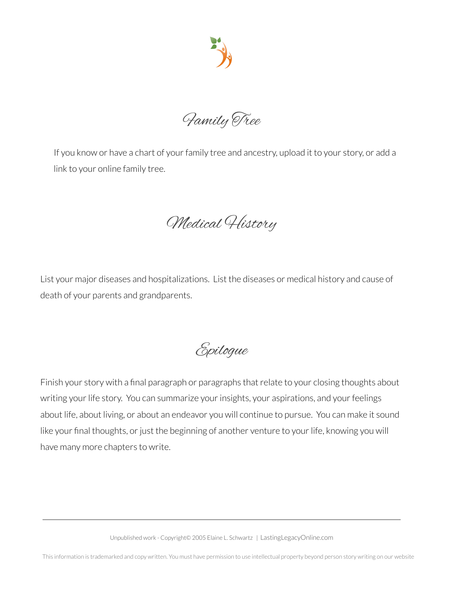

Family Tree

If you know or have a chart of your family tree and ancestry, upload it to your story, or add a link to your online family tree.

Medical History

List your major diseases and hospitalizations. List the diseases or medical history and cause of death of your parents and grandparents.

Epilogue

Finish your story with a final paragraph or paragraphs that relate to your closing thoughts about writing your life story. You can summarize your insights, your aspirations, and your feelings about life, about living, or about an endeavor you will continue to pursue. You can make it sound like your final thoughts, or just the beginning of another venture to your life, knowing you will have many more chapters to write.

Unpublished work - Copyright© 2005 Elaine L. Schwartz | LastingLegacyOnline.com

This information is trademarked and copy written. You must have permission to use intellectual property beyond person story writing on our website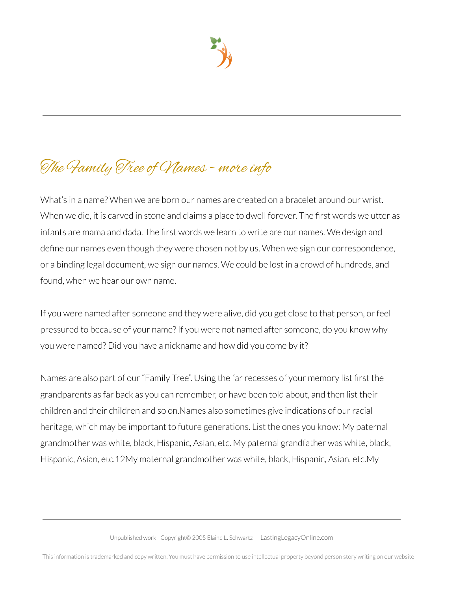# The Family Tree of Names - more info

What's in a name? When we are born our names are created on a bracelet around our wrist. When we die, it is carved in stone and claims a place to dwell forever. The first words we utter as infants are mama and dada. The first words we learn to write are our names. We design and define our names even though they were chosen not by us. When we sign our correspondence, or a binding legal document, we sign our names. We could be lost in a crowd of hundreds, and found, when we hear our own name.

If you were named after someone and they were alive, did you get close to that person, or feel pressured to because of your name? If you were not named after someone, do you know why you were named? Did you have a nickname and how did you come by it?

Names are also part of our "Family Tree". Using the far recesses of your memory list first the grandparents as far back as you can remember, or have been told about, and then list their children and their children and so on.Names also sometimes give indications of ourracial heritage, which may be important to future generations. List the ones you know: My paternal grandmother was white, black, Hispanic, Asian, etc. My paternal grandfather was white, black, Hispanic, Asian, etc.12My maternal grandmother was white, black, Hispanic, Asian, etc.My